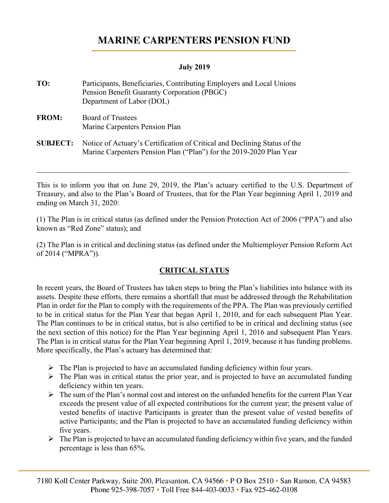# **MARINE CARPENTERS PENSION FUND**

### **July 2019**

**TO:** Participants, Beneficiaries, Contributing Employers and Local Unions Pension Benefit Guaranty Corporation (PBGC) Department of Labor (DOL) **FROM:** Board of Trustees Marine Carpenters Pension Plan **SUBJECT:** Notice of Actuary's Certification of Critical and Declining Status of the Marine Carpenters Pension Plan ("Plan") for the 2019-2020 Plan Year

This is to inform you that on June 29, 2019, the Plan's actuary certified to the U.S. Department of Treasury, and also to the Plan's Board of Trustees, that for the Plan Year beginning April 1, 2019 and ending on March 31, 2020:

\_\_\_\_\_\_\_\_\_\_\_\_\_\_\_\_\_\_\_\_\_\_\_\_\_\_\_\_\_\_\_\_\_\_\_\_\_\_\_\_\_\_\_\_\_\_\_\_\_\_\_\_\_\_\_\_\_\_\_\_\_\_\_\_\_\_\_\_\_\_\_\_\_\_\_\_\_\_\_\_\_\_

(1) The Plan is in critical status (as defined under the Pension Protection Act of 2006 ("PPA") and also known as "Red Zone" status); and

(2) The Plan is in critical and declining status (as defined under the Multiemployer Pension Reform Act of 2014 ("MPRA")).

# **CRITICAL STATUS**

In recent years, the Board of Trustees has taken steps to bring the Plan's liabilities into balance with its assets. Despite these efforts, there remains a shortfall that must be addressed through the Rehabilitation Plan in order for the Plan to comply with the requirements of the PPA. The Plan was previously certified to be in critical status for the Plan Year that began April 1, 2010, and for each subsequent Plan Year. The Plan continues to be in critical status, but is also certified to be in critical and declining status (see the next section of this notice) for the Plan Year beginning April 1, 2016 and subsequent Plan Years. The Plan is in critical status for the Plan Year beginning April 1, 2019, because it has funding problems. More specifically, the Plan's actuary has determined that:

- $\triangleright$  The Plan is projected to have an accumulated funding deficiency within four years.
- $\triangleright$  The Plan was in critical status the prior year, and is projected to have an accumulated funding deficiency within ten years.
- $\triangleright$  The sum of the Plan's normal cost and interest on the unfunded benefits for the current Plan Year exceeds the present value of all expected contributions for the current year; the present value of vested benefits of inactive Participants is greater than the present value of vested benefits of active Participants; and the Plan is projected to have an accumulated funding deficiency within five years.
- $\triangleright$  The Plan is projected to have an accumulated funding deficiency within five years, and the funded percentage is less than 65%.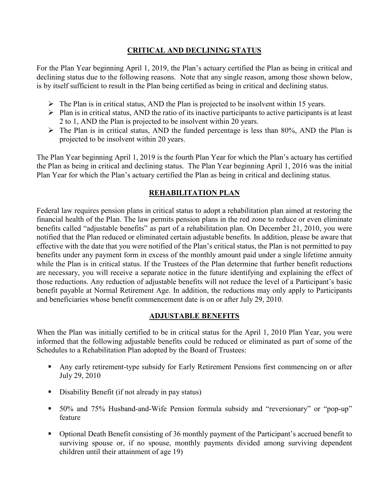### **CRITICAL AND DECLINING STATUS**

For the Plan Year beginning April 1, 2019, the Plan's actuary certified the Plan as being in critical and declining status due to the following reasons. Note that any single reason, among those shown below, is by itself sufficient to result in the Plan being certified as being in critical and declining status.

- $\triangleright$  The Plan is in critical status, AND the Plan is projected to be insolvent within 15 years.
- $\triangleright$  Plan is in critical status, AND the ratio of its inactive participants to active participants is at least 2 to 1, AND the Plan is projected to be insolvent within 20 years.
- $\triangleright$  The Plan is in critical status, AND the funded percentage is less than 80%, AND the Plan is projected to be insolvent within 20 years.

The Plan Year beginning April 1, 2019 is the fourth Plan Year for which the Plan's actuary has certified the Plan as being in critical and declining status. The Plan Year beginning April 1, 2016 was the initial Plan Year for which the Plan's actuary certified the Plan as being in critical and declining status.

### **REHABILITATION PLAN**

Federal law requires pension plans in critical status to adopt a rehabilitation plan aimed at restoring the financial health of the Plan. The law permits pension plans in the red zone to reduce or even eliminate benefits called "adjustable benefits" as part of a rehabilitation plan. On December 21, 2010, you were notified that the Plan reduced or eliminated certain adjustable benefits. In addition, please be aware that effective with the date that you were notified of the Plan's critical status, the Plan is not permitted to pay benefits under any payment form in excess of the monthly amount paid under a single lifetime annuity while the Plan is in critical status. If the Trustees of the Plan determine that further benefit reductions are necessary, you will receive a separate notice in the future identifying and explaining the effect of those reductions. Any reduction of adjustable benefits will not reduce the level of a Participant's basic benefit payable at Normal Retirement Age. In addition, the reductions may only apply to Participants and beneficiaries whose benefit commencement date is on or after July 29, 2010.

#### **ADJUSTABLE BENEFITS**

When the Plan was initially certified to be in critical status for the April 1, 2010 Plan Year, you were informed that the following adjustable benefits could be reduced or eliminated as part of some of the Schedules to a Rehabilitation Plan adopted by the Board of Trustees:

- Any early retirement-type subsidy for Early Retirement Pensions first commencing on or after July 29, 2010
- Disability Benefit (if not already in pay status)
- 50% and 75% Husband-and-Wife Pension formula subsidy and "reversionary" or "pop-up" feature
- Optional Death Benefit consisting of 36 monthly payment of the Participant's accrued benefit to surviving spouse or, if no spouse, monthly payments divided among surviving dependent children until their attainment of age 19)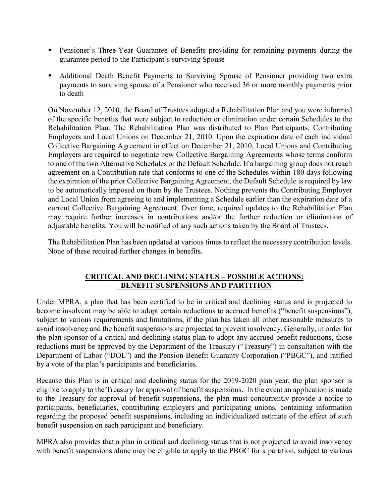- **Pensioner's Three-Year Guarantee of Benefits providing for remaining payments during the** guarantee period to the Participant's surviving Spouse
- Additional Death Benefit Payments to Surviving Spouse of Pensioner providing two extra payments to surviving spouse of a Pensioner who received 36 or more monthly payments prior to death

On November 12, 2010, the Board of Trustees adopted a Rehabilitation Plan and you were informed of the specific benefits that were subject to reduction or elimination under certain Schedules to the Rehabilitation Plan. The Rehabilitation Plan was distributed to Plan Participants, Contributing Employers and Local Unions on December 21, 2010. Upon the expiration date of each individual Collective Bargaining Agreement in effect on December 21, 2010, Local Unions and Contributing Employers are required to negotiate new Collective Bargaining Agreements whose terms conform to one of the two Alternative Schedules or the Default Schedule. If a bargaining group does not reach agreement on a Contribution rate that conforms to one of the Schedules within 180 days following the expiration of the prior Collective Bargaining Agreement, the Default Schedule is required by law to be automatically imposed on them by the Trustees. Nothing prevents the Contributing Employer and Local Union from agreeing to and implementing a Schedule earlier than the expiration date of a current Collective Bargaining Agreement. Over time, required updates to the Rehabilitation Plan may require further increases in contributions and/or the further reduction or elimination of adjustable benefits. You will be notified of any such actions taken by the Board of Trustees.

The Rehabilitation Plan has been updated at various times to reflect the necessary contribution levels. None of these required further changes in benefits*.* 

### **CRITICAL AND DECLINING STATUS – POSSIBLE ACTIONS: BENEFIT SUSPENSIONS AND PARTITION**

Under MPRA, a plan that has been certified to be in critical and declining status and is projected to become insolvent may be able to adopt certain reductions to accrued benefits ("benefit suspensions"), subject to various requirements and limitations, if the plan has taken all other reasonable measures to avoid insolvency and the benefit suspensions are projected to prevent insolvency. Generally, in order for the plan sponsor of a critical and declining status plan to adopt any accrued benefit reductions, those reductions must be approved by the Department of the Treasury ("Treasury") in consultation with the Department of Labor ("DOL") and the Pension Benefit Guaranty Corporation ("PBGC"), and ratified by a vote of the plan's participants and beneficiaries.

Because this Plan is in critical and declining status for the 2019-2020 plan year, the plan sponsor is eligible to apply to the Treasury for approval of benefit suspensions. In the event an application is made to the Treasury for approval of benefit suspensions, the plan must concurrently provide a notice to participants, beneficiaries, contributing employers and participating unions, containing information regarding the proposed benefit suspensions, including an individualized estimate of the effect of such benefit suspension on each participant and beneficiary.

MPRA also provides that a plan in critical and declining status that is not projected to avoid insolvency with benefit suspensions alone may be eligible to apply to the PBGC for a partition, subject to various